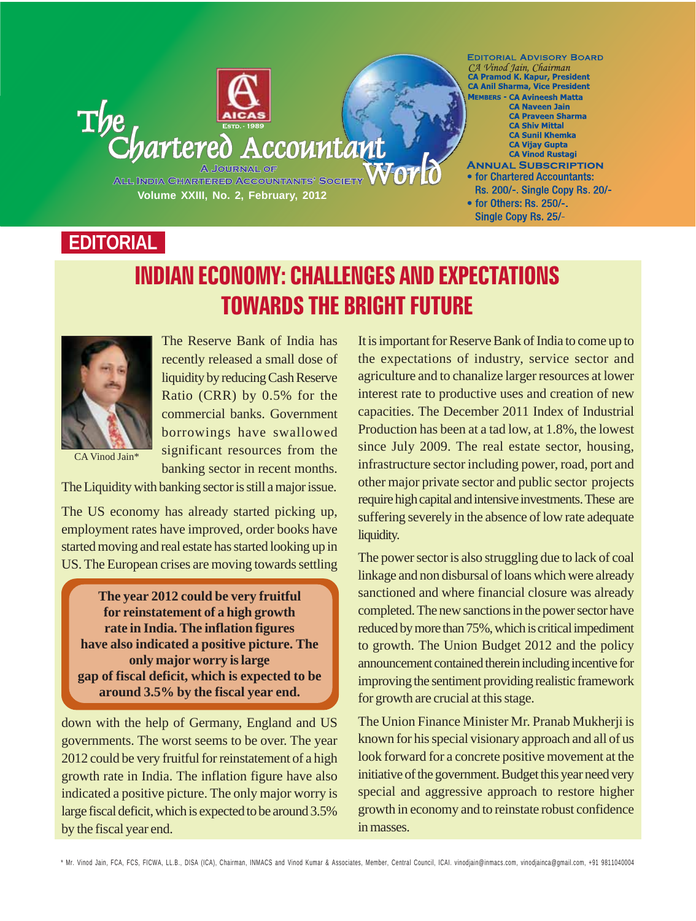

## **EDITORIAL**

# INDIAN ECONOMY: CHALLENGES AND EXPECTATIONS TOWARDS THE BRIGHT FUTURE



The Reserve Bank of India has recently released a small dose of liquidity by reducing Cash Reserve Ratio (CRR) by 0.5% for the commercial banks. Government borrowings have swallowed significant resources from the banking sector in recent months.

The Liquidity with banking sector is still a major issue.

The US economy has already started picking up, employment rates have improved, order books have started moving and real estate has started looking up in US. The European crises are moving towards settling

**The year 2012 could be very fruitful for reinstatement of a high growth rate in India. The inflation figures have also indicated a positive picture. The only major worry is large gap of fiscal deficit, which is expected to be around 3.5% by the fiscal year end.**

down with the help of Germany, England and US governments. The worst seems to be over. The year 2012 could be very fruitful for reinstatement of a high growth rate in India. The inflation figure have also indicated a positive picture. The only major worry is large fiscal deficit, which is expected to be around 3.5% by the fiscal year end.

It is important for Reserve Bank of India to come up to the expectations of industry, service sector and agriculture and to chanalize larger resources at lower interest rate to productive uses and creation of new capacities. The December 2011 Index of Industrial Production has been at a tad low, at 1.8%, the lowest since July 2009. The real estate sector, housing, infrastructure sector including power, road, port and other major private sector and public sector projects require high capital and intensive investments. These are suffering severely in the absence of low rate adequate liquidity.

The power sector is also struggling due to lack of coal linkage and non disbursal of loans which were already sanctioned and where financial closure was already completed. The new sanctions in the power sector have reduced by more than 75%, which is critical impediment to growth. The Union Budget 2012 and the policy announcement contained therein including incentive for improving the sentiment providing realistic framework for growth are crucial at this stage.

The Union Finance Minister Mr. Pranab Mukherji is known for his special visionary approach and all of us look forward for a concrete positive movement at the initiative of the government. Budget this year need very special and aggressive approach to restore higher growth in economy and to reinstate robust confidence in masses.

\* Mr. Vinod Jain, FCA, FCS, FICWA, LL.B., DISA (ICA), Chairman, INMACS and Vinod Kumar & Associates, Member, Central Council, ICAI. vinodjain@inmacs.com, vinodjainca@gmail.com, +91 9811040004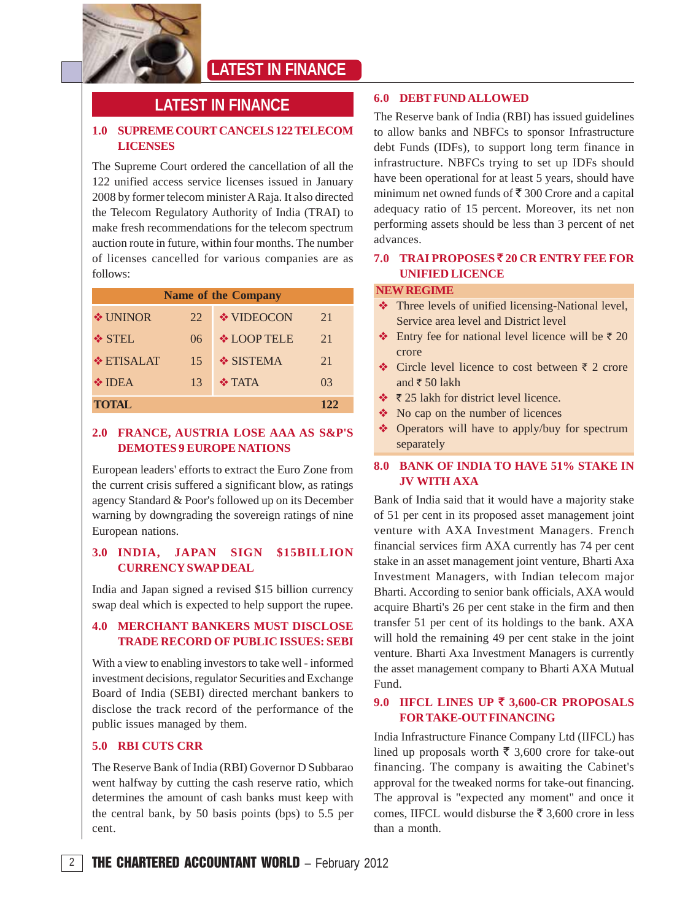

## **LATEST IN FINANCE**

## **LATEST IN FINANCE**

### **1.0 SUPREME COURT CANCELS 122 TELECOM LICENSES**

The Supreme Court ordered the cancellation of all the 122 unified access service licenses issued in January 2008 by former telecom minister A Raja. It also directed the Telecom Regulatory Authority of India (TRAI) to make fresh recommendations for the telecom spectrum auction route in future, within four months. The number of licenses cancelled for various companies are as follows:

| <b>Name of the Company</b> |     |                    |     |  |  |
|----------------------------|-----|--------------------|-----|--|--|
| $\div$ UNINOR              | 22. | ❖ VIDEOCON         | 21  |  |  |
| ❖ STEL                     | 06  | <b>❖ LOOP TELE</b> | 2.1 |  |  |
| <b>❖ ETISALAT</b>          | 15  | ❖ SISTEMA          | 21  |  |  |
| $\div$ IDEA                | 13  | $\div$ TATA        | 03  |  |  |
| <b>TOTAL</b>               |     |                    | 122 |  |  |

#### **2.0 FRANCE, AUSTRIA LOSE AAA AS S&P'S DEMOTES 9 EUROPE NATIONS**

European leaders' efforts to extract the Euro Zone from the current crisis suffered a significant blow, as ratings agency Standard & Poor's followed up on its December warning by downgrading the sovereign ratings of nine European nations.

#### **3.0 INDIA, JAPAN SIGN \$15BILLION CURRENCY SWAP DEAL**

India and Japan signed a revised \$15 billion currency swap deal which is expected to help support the rupee.

#### **4.0 MERCHANT BANKERS MUST DISCLOSE TRADE RECORD OF PUBLIC ISSUES: SEBI**

With a view to enabling investors to take well - informed investment decisions, regulator Securities and Exchange Board of India (SEBI) directed merchant bankers to disclose the track record of the performance of the public issues managed by them.

#### **5.0 RBI CUTS CRR**

The Reserve Bank of India (RBI) Governor D Subbarao went halfway by cutting the cash reserve ratio, which determines the amount of cash banks must keep with the central bank, by 50 basis points (bps) to 5.5 per cent.

#### **6.0 DEBT FUND ALLOWED**

The Reserve bank of India (RBI) has issued guidelines to allow banks and NBFCs to sponsor Infrastructure debt Funds (IDFs), to support long term finance in infrastructure. NBFCs trying to set up IDFs should have been operational for at least 5 years, should have minimum net owned funds of  $\bar{\tau}$  300 Crore and a capital adequacy ratio of 15 percent. Moreover, its net non performing assets should be less than 3 percent of net advances.

#### **7.0 TRAI PROPOSES** ` **20 CR ENTRY FEE FOR UNIFIED LICENCE**

#### **NEW REGIME**

- \* Three levels of unified licensing-National level, Service area level and District level
- Entry fee for national level licence will be  $\bar{\tau}$  20 crore
- $\triangle$  Circle level licence to cost between  $\bar{\tau}$  2 crore and  $\bar{x}$  50 lakh
- $\div$  ₹ 25 lakh for district level licence.
- $\bullet$  No cap on the number of licences
- Operators will have to apply/buy for spectrum separately

### **8.0 BANK OF INDIA TO HAVE 51% STAKE IN JV WITH AXA**

Bank of India said that it would have a majority stake of 51 per cent in its proposed asset management joint venture with AXA Investment Managers. French financial services firm AXA currently has 74 per cent stake in an asset management joint venture, Bharti Axa Investment Managers, with Indian telecom major Bharti. According to senior bank officials, AXA would acquire Bharti's 26 per cent stake in the firm and then transfer 51 per cent of its holdings to the bank. AXA will hold the remaining 49 per cent stake in the joint venture. Bharti Axa Investment Managers is currently the asset management company to Bharti AXA Mutual Fund.

#### **9.0 IIFCL LINES UP** ` **3,600-CR PROPOSALS FOR TAKE-OUT FINANCING**

India Infrastructure Finance Company Ltd (IIFCL) has lined up proposals worth  $\bar{\bar{\xi}}$  3,600 crore for take-out financing. The company is awaiting the Cabinet's approval for the tweaked norms for take-out financing. The approval is "expected any moment" and once it comes, IIFCL would disburse the  $\overline{5}$  3,600 crore in less than a month.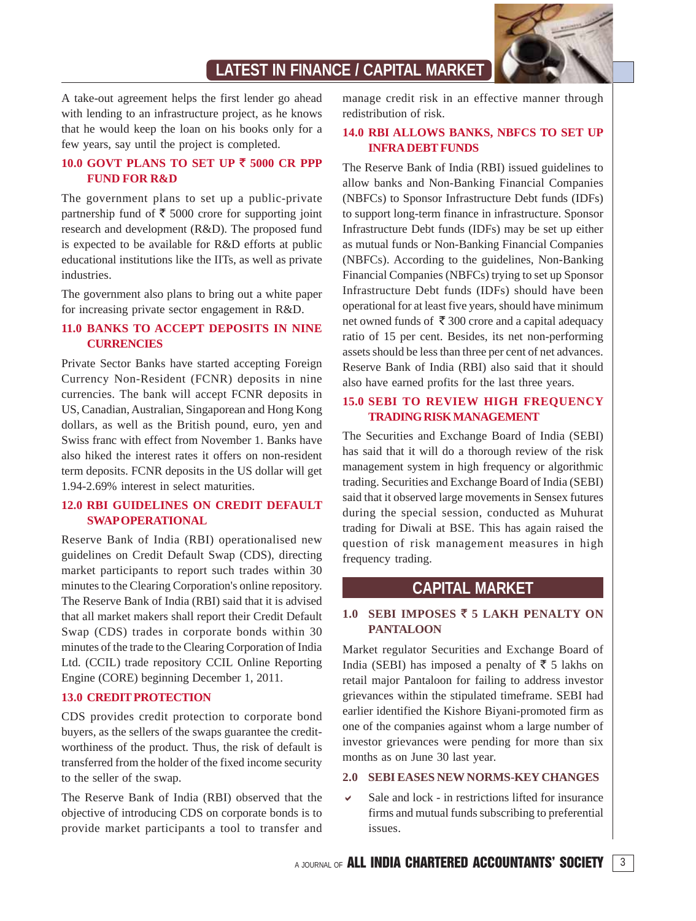

## **LATEST IN FINANCE / CAPITAL MARKET**

A take-out agreement helps the first lender go ahead with lending to an infrastructure project, as he knows that he would keep the loan on his books only for a few years, say until the project is completed.

#### **10.0 GOVT PLANS TO SET UP** ` **5000 CR PPP FUND FOR R&D**

The government plans to set up a public-private partnership fund of  $\bar{\tau}$  5000 crore for supporting joint research and development (R&D). The proposed fund is expected to be available for R&D efforts at public educational institutions like the IITs, as well as private industries.

The government also plans to bring out a white paper for increasing private sector engagement in R&D.

#### **11.0 BANKS TO ACCEPT DEPOSITS IN NINE CURRENCIES**

Private Sector Banks have started accepting Foreign Currency Non-Resident (FCNR) deposits in nine currencies. The bank will accept FCNR deposits in US, Canadian, Australian, Singaporean and Hong Kong dollars, as well as the British pound, euro, yen and Swiss franc with effect from November 1. Banks have also hiked the interest rates it offers on non-resident term deposits. FCNR deposits in the US dollar will get 1.94-2.69% interest in select maturities.

#### **12.0 RBI GUIDELINES ON CREDIT DEFAULT SWAP OPERATIONAL**

Reserve Bank of India (RBI) operationalised new guidelines on Credit Default Swap (CDS), directing market participants to report such trades within 30 minutes to the Clearing Corporation's online repository. The Reserve Bank of India (RBI) said that it is advised that all market makers shall report their Credit Default Swap (CDS) trades in corporate bonds within 30 minutes of the trade to the Clearing Corporation of India Ltd. (CCIL) trade repository CCIL Online Reporting Engine (CORE) beginning December 1, 2011.

#### **13.0 CREDIT PROTECTION**

CDS provides credit protection to corporate bond buyers, as the sellers of the swaps guarantee the creditworthiness of the product. Thus, the risk of default is transferred from the holder of the fixed income security to the seller of the swap.

The Reserve Bank of India (RBI) observed that the objective of introducing CDS on corporate bonds is to provide market participants a tool to transfer and manage credit risk in an effective manner through redistribution of risk.

#### **14.0 RBI ALLOWS BANKS, NBFCS TO SET UP INFRA DEBT FUNDS**

The Reserve Bank of India (RBI) issued guidelines to allow banks and Non-Banking Financial Companies (NBFCs) to Sponsor Infrastructure Debt funds (IDFs) to support long-term finance in infrastructure. Sponsor Infrastructure Debt funds (IDFs) may be set up either as mutual funds or Non-Banking Financial Companies (NBFCs). According to the guidelines, Non-Banking Financial Companies (NBFCs) trying to set up Sponsor Infrastructure Debt funds (IDFs) should have been operational for at least five years, should have minimum net owned funds of  $\bar{\tau}$  300 crore and a capital adequacy ratio of 15 per cent. Besides, its net non-performing assets should be less than three per cent of net advances. Reserve Bank of India (RBI) also said that it should also have earned profits for the last three years.

#### **15.0 SEBI TO REVIEW HIGH FREQUENCY TRADING RISK MANAGEMENT**

The Securities and Exchange Board of India (SEBI) has said that it will do a thorough review of the risk management system in high frequency or algorithmic trading. Securities and Exchange Board of India (SEBI) said that it observed large movements in Sensex futures during the special session, conducted as Muhurat trading for Diwali at BSE. This has again raised the question of risk management measures in high frequency trading.

### **CAPITAL MARKET**

#### **1.0 SEBI IMPOSES** ` **5 LAKH PENALTY ON PANTALOON**

Market regulator Securities and Exchange Board of India (SEBI) has imposed a penalty of  $\overline{5}$  5 lakhs on retail major Pantaloon for failing to address investor grievances within the stipulated timeframe. SEBI had earlier identified the Kishore Biyani-promoted firm as one of the companies against whom a large number of investor grievances were pending for more than six months as on June 30 last year.

#### **2.0 SEBI EASES NEW NORMS-KEY CHANGES**

 $\mathbf{v}$  Sale and lock - in restrictions lifted for insurance firms and mutual funds subscribing to preferential issues.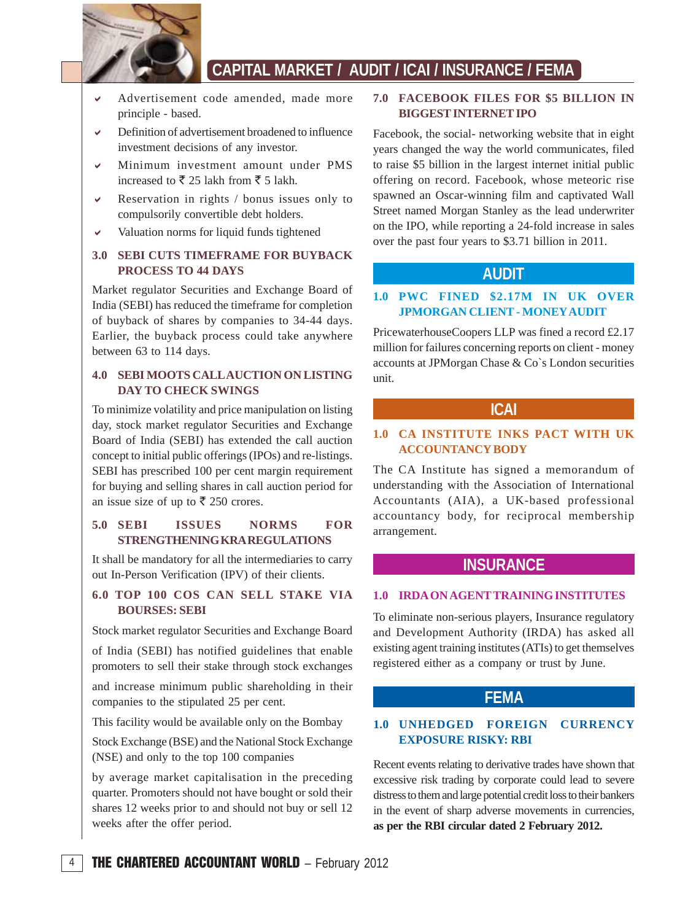

## **CAPITAL MARKET / AUDIT / ICAI / INSURANCE / FEMA**

- - Advertisement code amended, made more principle - based.
- $\checkmark$  Definition of advertisement broadened to influence investment decisions of any investor.
- - Minimum investment amount under PMS increased to  $\bar{\xi}$  25 lakh from  $\bar{\xi}$  5 lakh.
- $\checkmark$  Reservation in rights / bonus issues only to compulsorily convertible debt holders.
- $\checkmark$ Valuation norms for liquid funds tightened

#### **3.0 SEBI CUTS TIMEFRAME FOR BUYBACK PROCESS TO 44 DAYS**

Market regulator Securities and Exchange Board of India (SEBI) has reduced the timeframe for completion of buyback of shares by companies to 34-44 days. Earlier, the buyback process could take anywhere between 63 to 114 days.

### **4.0 SEBI MOOTS CALL AUCTION ON LISTING DAY TO CHECK SWINGS**

To minimize volatility and price manipulation on listing day, stock market regulator Securities and Exchange Board of India (SEBI) has extended the call auction concept to initial public offerings (IPOs) and re-listings. SEBI has prescribed 100 per cent margin requirement for buying and selling shares in call auction period for an issue size of up to  $\bar{\mathfrak{c}}$  250 crores.

### **5.0 SEBI ISSUES NORMS FOR STRENGTHENING KRA REGULATIONS**

It shall be mandatory for all the intermediaries to carry out In-Person Verification (IPV) of their clients.

#### **6.0 TOP 100 COS CAN SELL STAKE VIA BOURSES: SEBI**

Stock market regulator Securities and Exchange Board

of India (SEBI) has notified guidelines that enable promoters to sell their stake through stock exchanges

and increase minimum public shareholding in their companies to the stipulated 25 per cent.

This facility would be available only on the Bombay

Stock Exchange (BSE) and the National Stock Exchange (NSE) and only to the top 100 companies

by average market capitalisation in the preceding quarter. Promoters should not have bought or sold their shares 12 weeks prior to and should not buy or sell 12 weeks after the offer period.

#### **7.0 FACEBOOK FILES FOR \$5 BILLION IN BIGGEST INTERNET IPO**

Facebook, the social- networking website that in eight years changed the way the world communicates, filed to raise \$5 billion in the largest internet initial public offering on record. Facebook, whose meteoric rise spawned an Oscar-winning film and captivated Wall Street named Morgan Stanley as the lead underwriter on the IPO, while reporting a 24-fold increase in sales over the past four years to \$3.71 billion in 2011.

### **AUDIT**

#### **1.0 PWC FINED \$2.17M IN UK OVER JPMORGAN CLIENT - MONEY AUDIT**

PricewaterhouseCoopers LLP was fined a record £2.17 million for failures concerning reports on client - money accounts at JPMorgan Chase & Co`s London securities unit.

#### **ICAI**

#### **1.0 CA INSTITUTE INKS PACT WITH UK ACCOUNTANCY BODY**

The CA Institute has signed a memorandum of understanding with the Association of International Accountants (AIA), a UK-based professional accountancy body, for reciprocal membership arrangement.

### **INSURANCE**

#### **1.0 IRDA ON AGENT TRAINING INSTITUTES**

To eliminate non-serious players, Insurance regulatory and Development Authority (IRDA) has asked all existing agent training institutes (ATIs) to get themselves registered either as a company or trust by June.

### **FEMA**

### **1.0 UNHEDGED FOREIGN CURRENCY EXPOSURE RISKY: RBI**

Recent events relating to derivative trades have shown that excessive risk trading by corporate could lead to severe distress to them and large potential credit loss to their bankers in the event of sharp adverse movements in currencies, **as per the RBI circular dated 2 February 2012.**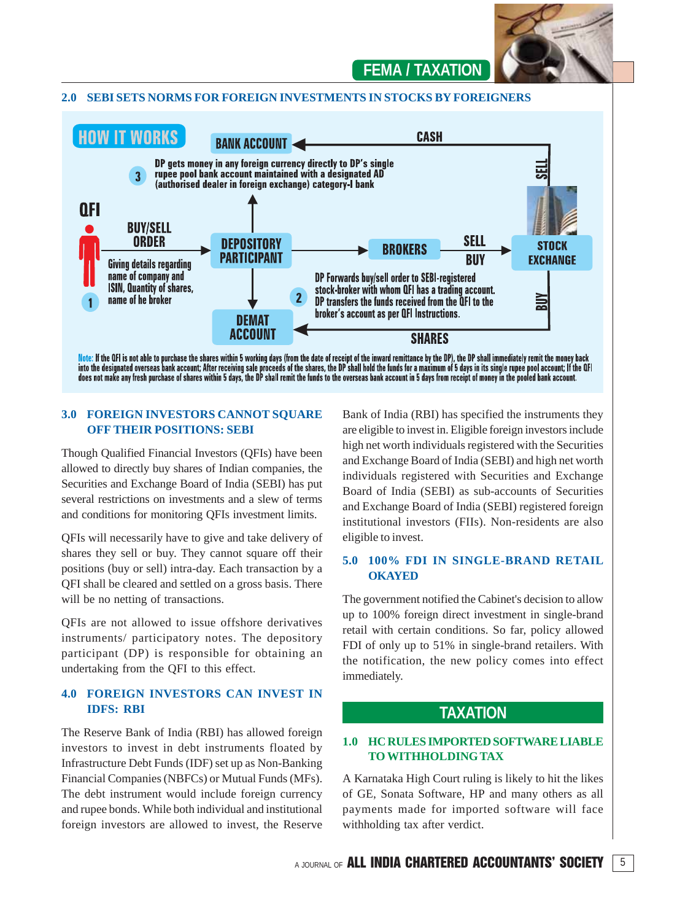

## **FEMA / TAXATION**

#### **2.0 SEBI SETS NORMS FOR FOREIGN INVESTMENTS IN STOCKS BY FOREIGNERS**



into the designated overseas bank account; After receiving sale proceeds of the shares, the DP shall hold the funds for a maximum of 5 days in its single rupee pool account; If the QFI does not make any fresh purchase of shares within 5 days, the DP shall remit the funds to the overseas bank account in 5 days from receipt of money in the pooled bank account.

#### **3.0 FOREIGN INVESTORS CANNOT SOUARE OFF THEIR POSITIONS: SEBI**

Though Qualified Financial Investors (QFIs) have been allowed to directly buy shares of Indian companies, the Securities and Exchange Board of India (SEBI) has put several restrictions on investments and a slew of terms and conditions for monitoring QFIs investment limits.

QFIs will necessarily have to give and take delivery of shares they sell or buy. They cannot square off their positions (buy or sell) intra-day. Each transaction by a QFI shall be cleared and settled on a gross basis. There will be no netting of transactions.

QFIs are not allowed to issue offshore derivatives instruments/ participatory notes. The depository participant (DP) is responsible for obtaining an undertaking from the QFI to this effect.

#### **4.0 FOREIGN INVESTORS CAN INVEST IN IDFS: RBI**

The Reserve Bank of India (RBI) has allowed foreign investors to invest in debt instruments floated by Infrastructure Debt Funds (IDF) set up as Non-Banking Financial Companies (NBFCs) or Mutual Funds (MFs). The debt instrument would include foreign currency and rupee bonds. While both individual and institutional foreign investors are allowed to invest, the Reserve

Bank of India (RBI) has specified the instruments they are eligible to invest in. Eligible foreign investors include high net worth individuals registered with the Securities and Exchange Board of India (SEBI) and high net worth individuals registered with Securities and Exchange Board of India (SEBI) as sub-accounts of Securities and Exchange Board of India (SEBI) registered foreign institutional investors (FIIs). Non-residents are also eligible to invest.

#### **5.0 100% FDI IN SINGLE-BRAND RETAIL OKAYED**

The government notified the Cabinet's decision to allow up to 100% foreign direct investment in single-brand retail with certain conditions. So far, policy allowed FDI of only up to 51% in single-brand retailers. With the notification, the new policy comes into effect immediately.

### **TAXATION**

#### **1.0 HC RULES IMPORTED SOFTWARE LIABLE TO WITHHOLDING TAX**

A Karnataka High Court ruling is likely to hit the likes of GE, Sonata Software, HP and many others as all payments made for imported software will face withholding tax after verdict.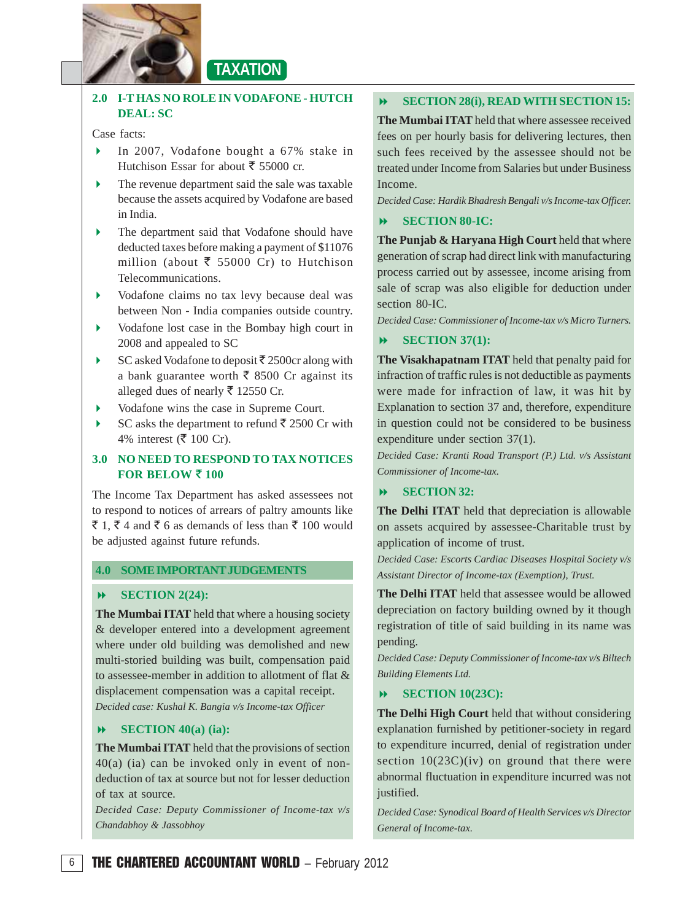

## **TAXATION**

### **2.0 I-T HAS NO ROLE IN VODAFONE - HUTCH DEAL: SC**

Case facts:

- In 2007, Vodafone bought a 67% stake in Hutchison Essar for about  $\bar{\tau}$  55000 cr.
- The revenue department said the sale was taxable because the assets acquired by Vodafone are based in India.
- The department said that Vodafone should have deducted taxes before making a payment of \$11076 million (about  $\bar{\bar{\xi}}$  55000 Cr) to Hutchison Telecommunications.
- Vodafone claims no tax levy because deal was between Non - India companies outside country.
- Vodafone lost case in the Bombay high court in 2008 and appealed to SC
- SC asked Vodafone to deposit  $\bar{\tau}$  2500cr along with a bank guarantee worth  $\bar{\bar{\xi}}$  8500 Cr against its alleged dues of nearly  $\overline{5}$  12550 Cr.
- Vodafone wins the case in Supreme Court.
- SC asks the department to refund  $\bar{\xi}$  2500 Cr with 4% interest ( $\bar{\mathfrak{F}}$  100 Cr).

### **3.0 NO NEED TO RESPOND TO TAX NOTICES FOR BELOW**  $\bar{z}$  **100**

The Income Tax Department has asked assessees not to respond to notices of arrears of paltry amounts like  $\bar{\xi}$  1,  $\bar{\xi}$  4 and  $\bar{\xi}$  6 as demands of less than  $\bar{\xi}$  100 would be adjusted against future refunds.

#### **4.0 SOME IMPORTANT JUDGEMENTS**

#### $\blacktriangleright$ **SECTION 2(24):**

**The Mumbai ITAT** held that where a housing society & developer entered into a development agreement where under old building was demolished and new multi-storied building was built, compensation paid to assessee-member in addition to allotment of flat & displacement compensation was a capital receipt. *Decided case: Kushal K. Bangia v/s Income-tax Officer*

#### $\blacktriangleright$ **SECTION 40(a) (ia):**

**The Mumbai ITAT** held that the provisions of section  $40(a)$  (ia) can be invoked only in event of nondeduction of tax at source but not for lesser deduction of tax at source.

*Decided Case: Deputy Commissioner of Income-tax v/s Chandabhoy & Jassobhoy*

#### $\blacktriangleright$ **SECTION 28(i), READ WITH SECTION 15:**

**The Mumbai ITAT** held that where assessee received fees on per hourly basis for delivering lectures, then such fees received by the assessee should not be treated under Income from Salaries but under Business Income.

*Decided Case: Hardik Bhadresh Bengali v/s Income-tax Officer.*

#### $\blacktriangleright$ **SECTION 80-IC:**

**The Punjab & Haryana High Court** held that where generation of scrap had direct link with manufacturing process carried out by assessee, income arising from sale of scrap was also eligible for deduction under section 80-IC.

*Decided Case: Commissioner of Income-tax v/s Micro Turners.*

#### $\overline{\mathbf{r}}$ **SECTION 37(1):**

**The Visakhapatnam ITAT** held that penalty paid for infraction of traffic rules is not deductible as payments were made for infraction of law, it was hit by Explanation to section 37 and, therefore, expenditure in question could not be considered to be business expenditure under section 37(1).

*Decided Case: Kranti Road Transport (P.) Ltd. v/s Assistant Commissioner of Income-tax.*

#### -**SECTION 32:**

**The Delhi ITAT** held that depreciation is allowable on assets acquired by assessee-Charitable trust by application of income of trust.

*Decided Case: Escorts Cardiac Diseases Hospital Society v/s Assistant Director of Income-tax (Exemption), Trust.*

**The Delhi ITAT** held that assessee would be allowed depreciation on factory building owned by it though registration of title of said building in its name was pending.

*Decided Case: Deputy Commissioner of Income-tax v/s Biltech Building Elements Ltd.*

#### **SECTION 10(23C):**

**The Delhi High Court** held that without considering explanation furnished by petitioner-society in regard to expenditure incurred, denial of registration under section  $10(23C)(iv)$  on ground that there were abnormal fluctuation in expenditure incurred was not justified.

*Decided Case: Synodical Board of Health Services v/s Director General of Income-tax.*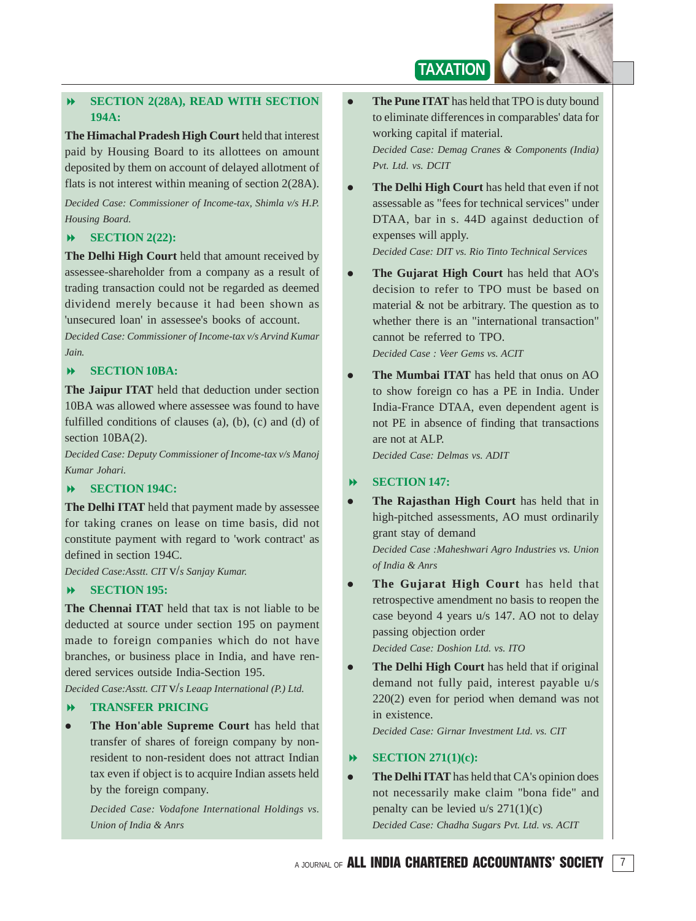

#### $\blacktriangleright$  **SECTION 2(28A), READ WITH SECTION 194A:**

**The Himachal Pradesh High Court** held that interest paid by Housing Board to its allottees on amount deposited by them on account of delayed allotment of flats is not interest within meaning of section 2(28A).

*Decided Case: Commissioner of Income-tax, Shimla v/s H.P. Housing Board.*

### - **SECTION 2(22):**

**The Delhi High Court** held that amount received by assessee-shareholder from a company as a result of trading transaction could not be regarded as deemed dividend merely because it had been shown as 'unsecured loan' in assessee's books of account.

*Decided Case: Commissioner of Income-tax v/s Arvind Kumar Jain.*

#### -**SECTION 10BA:**

**The Jaipur ITAT** held that deduction under section 10BA was allowed where assessee was found to have fulfilled conditions of clauses (a), (b), (c) and (d) of section  $10BA(2)$ .

*Decided Case: Deputy Commissioner of Income-tax v/s Manoj Kumar Johari.*

#### $\overline{\mathbf{b}}$ **SECTION 194C:**

**The Delhi ITAT** held that payment made by assessee for taking cranes on lease on time basis, did not constitute payment with regard to 'work contract' as defined in section 194C.

*Decided Case:Asstt. CIT* v/*s Sanjay Kumar.*

#### -**SECTION 195:**

**The Chennai ITAT** held that tax is not liable to be deducted at source under section 195 on payment made to foreign companies which do not have branches, or business place in India, and have rendered services outside India-Section 195.

*Decided Case:Asstt. CIT* v/*s Leaap International (P.) Ltd.*

#### $\blacktriangleright$ **TRANSFER PRICING**

 $\bullet$  **The Hon'able Supreme Court** has held that transfer of shares of foreign company by nonresident to non-resident does not attract Indian tax even if object is to acquire Indian assets held by the foreign company.

*Decided Case: Vodafone International Holdings vs. Union of India & Anrs*

 $\bullet$  **The Pune ITAT** has held that TPO is duty bound to eliminate differences in comparables' data for working capital if material.

**TAXATION**

*Decided Case: Demag Cranes & Components (India) Pvt. Ltd. vs. DCIT*

 $\bullet$  **The Delhi High Court** has held that even if not assessable as "fees for technical services" under DTAA, bar in s. 44D against deduction of expenses will apply.

*Decided Case: DIT vs. Rio Tinto Technical Services*

 $\bullet$  **The Gujarat High Court** has held that AO's decision to refer to TPO must be based on material & not be arbitrary. The question as to whether there is an "international transaction" cannot be referred to TPO.

*Decided Case : Veer Gems vs. ACIT*

 $\bullet$  **The Mumbai ITAT** has held that onus on AO to show foreign co has a PE in India. Under India-France DTAA, even dependent agent is not PE in absence of finding that transactions are not at ALP.

*Decided Case: Delmas vs. ADIT*

#### $\overline{\phantom{a}}$ **SECTION 147:**

 $\bullet$  **The Rajasthan High Court** has held that in high-pitched assessments, AO must ordinarily grant stay of demand

*Decided Case :Maheshwari Agro Industries vs. Union of India & Anrs*

 $\bullet$  **The Gujarat High Court** has held that retrospective amendment no basis to reopen the case beyond 4 years u/s 147. AO not to delay passing objection order *Decided Case: Doshion Ltd. vs. ITO*

 **The Delhi High Court** has held that if original demand not fully paid, interest payable u/s

220(2) even for period when demand was not in existence.

*Decided Case: Girnar Investment Ltd. vs. CIT*

#### -**SECTION 271(1)(c):**

 $\bullet$ 

 $\bullet$  **The Delhi ITAT** has held that CA's opinion does not necessarily make claim "bona fide" and penalty can be levied  $u/s$  271(1)(c) *Decided Case: Chadha Sugars Pvt. Ltd. vs. ACIT*